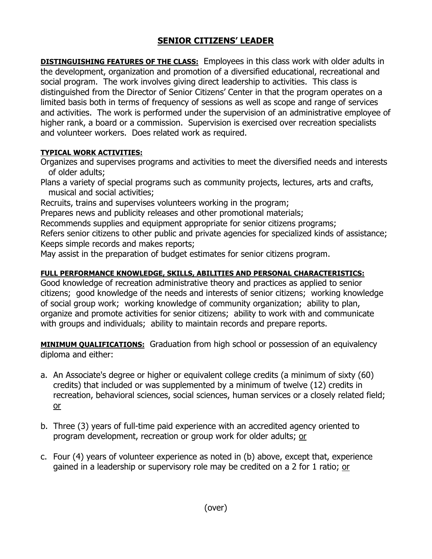## **SENIOR CITIZENS' LEADER**

**DISTINGUISHING FEATURES OF THE CLASS:** Employees in this class work with older adults in the development, organization and promotion of a diversified educational, recreational and social program. The work involves giving direct leadership to activities. This class is distinguished from the Director of Senior Citizens' Center in that the program operates on a limited basis both in terms of frequency of sessions as well as scope and range of services and activities. The work is performed under the supervision of an administrative employee of higher rank, a board or a commission. Supervision is exercised over recreation specialists and volunteer workers. Does related work as required.

## **TYPICAL WORK ACTIVITIES:**

Organizes and supervises programs and activities to meet the diversified needs and interests of older adults;

Plans a variety of special programs such as community projects, lectures, arts and crafts, musical and social activities;

Recruits, trains and supervises volunteers working in the program;

Prepares news and publicity releases and other promotional materials;

Recommends supplies and equipment appropriate for senior citizens programs;

Refers senior citizens to other public and private agencies for specialized kinds of assistance; Keeps simple records and makes reports;

May assist in the preparation of budget estimates for senior citizens program.

## **FULL PERFORMANCE KNOWLEDGE, SKILLS, ABILITIES AND PERSONAL CHARACTERISTICS:**

Good knowledge of recreation administrative theory and practices as applied to senior citizens; good knowledge of the needs and interests of senior citizens; working knowledge of social group work; working knowledge of community organization; ability to plan, organize and promote activities for senior citizens; ability to work with and communicate with groups and individuals; ability to maintain records and prepare reports.

**MINIMUM QUALIFICATIONS:** Graduation from high school or possession of an equivalency diploma and either:

- a. An Associate's degree or higher or equivalent college credits (a minimum of sixty (60) credits) that included or was supplemented by a minimum of twelve (12) credits in recreation, behavioral sciences, social sciences, human services or a closely related field; or
- b. Three (3) years of full-time paid experience with an accredited agency oriented to program development, recreation or group work for older adults; or
- c. Four (4) years of volunteer experience as noted in (b) above, except that, experience gained in a leadership or supervisory role may be credited on a 2 for 1 ratio; or